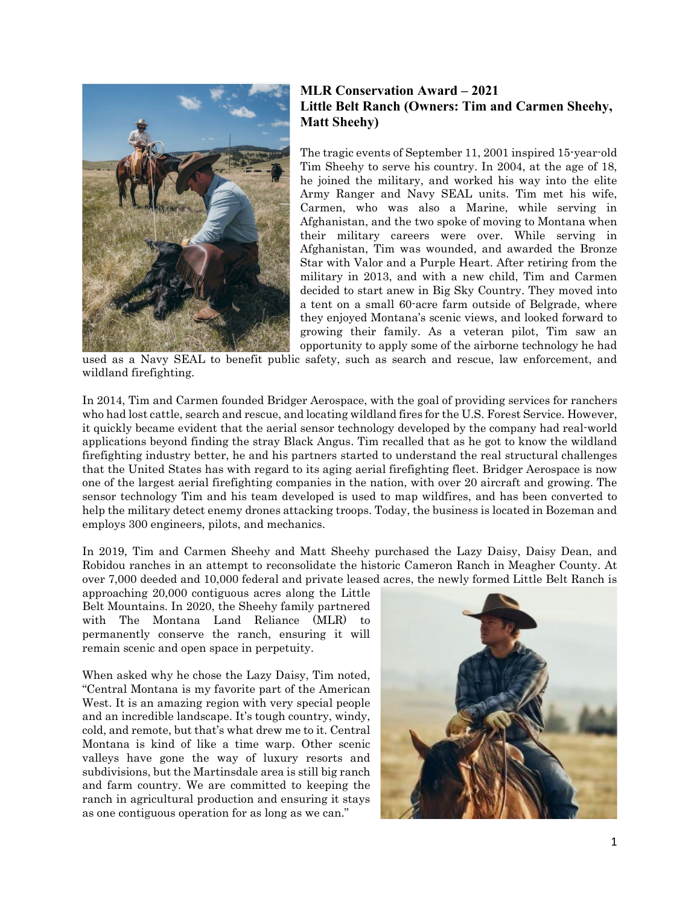

## **MLR Conservation Award – 2021 Little Belt Ranch (Owners: Tim and Carmen Sheehy, Matt Sheehy)**

The tragic events of September 11, 2001 inspired 15-year-old Tim Sheehy to serve his country. In 2004, at the age of 18, he joined the military, and worked his way into the elite Army Ranger and Navy SEAL units. Tim met his wife, Carmen, who was also a Marine, while serving in Afghanistan, and the two spoke of moving to Montana when their military careers were over. While serving in Afghanistan, Tim was wounded, and awarded the Bronze Star with Valor and a Purple Heart. After retiring from the military in 2013, and with a new child, Tim and Carmen decided to start anew in Big Sky Country. They moved into a tent on a small 60-acre farm outside of Belgrade, where they enjoyed Montana's scenic views, and looked forward to growing their family. As a veteran pilot, Tim saw an opportunity to apply some of the airborne technology he had

used as a Navy SEAL to benefit public safety, such as search and rescue, law enforcement, and wildland firefighting.

In 2014, Tim and Carmen founded Bridger Aerospace, with the goal of providing services for ranchers who had lost cattle, search and rescue, and locating wildland fires for the U.S. Forest Service. However, it quickly became evident that the aerial sensor technology developed by the company had real-world applications beyond finding the stray Black Angus. Tim recalled that as he got to know the wildland firefighting industry better, he and his partners started to understand the real structural challenges that the United States has with regard to its aging aerial firefighting fleet. Bridger Aerospace is now one of the largest aerial firefighting companies in the nation, with over 20 aircraft and growing. The sensor technology Tim and his team developed is used to map wildfires, and has been converted to help the military detect enemy drones attacking troops. Today, the business is located in Bozeman and employs 300 engineers, pilots, and mechanics.

In 2019, Tim and Carmen Sheehy and Matt Sheehy purchased the Lazy Daisy, Daisy Dean, and Robidou ranches in an attempt to reconsolidate the historic Cameron Ranch in Meagher County. At over 7,000 deeded and 10,000 federal and private leased acres, the newly formed Little Belt Ranch is

approaching 20,000 contiguous acres along the Little Belt Mountains. In 2020, the Sheehy family partnered with The Montana Land Reliance (MLR) to permanently conserve the ranch, ensuring it will remain scenic and open space in perpetuity.

When asked why he chose the Lazy Daisy, Tim noted, "Central Montana is my favorite part of the American West. It is an amazing region with very special people and an incredible landscape. It's tough country, windy, cold, and remote, but that's what drew me to it. Central Montana is kind of like a time warp. Other scenic valleys have gone the way of luxury resorts and subdivisions, but the Martinsdale area is still big ranch and farm country. We are committed to keeping the ranch in agricultural production and ensuring it stays as one contiguous operation for as long as we can."